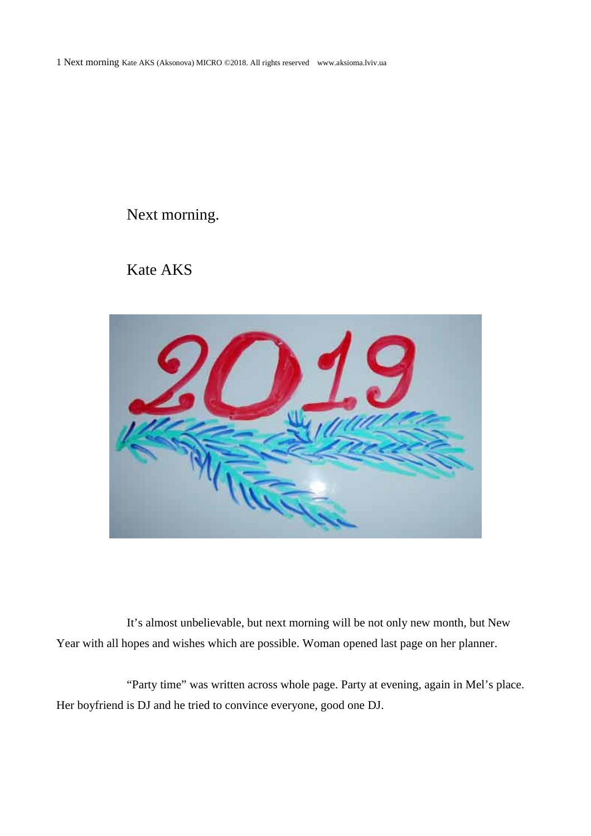1 Next morning Kate AKS (Aksonova) MICRO ©2018. All rights reserved www.aksioma.lviv.ua

Next morning.

Kate AKS



It's almost unbelievable, but next morning will be not only new month, but New Year with all hopes and wishes which are possible. Woman opened last page on her planner.

"Party time" was written across whole page. Party at evening, again in Mel's place. Her boyfriend is DJ and he tried to convince everyone, good one DJ.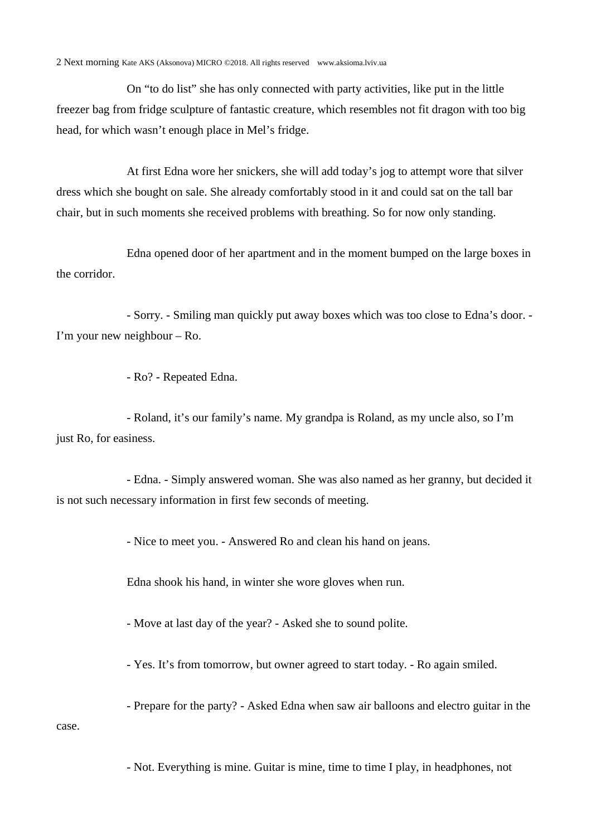On "to do list" she has only connected with party activities, like put in the little freezer bag from fridge sculpture of fantastic creature, which resembles not fit dragon with too big head, for which wasn't enough place in Mel's fridge.

At first Edna wore her snickers, she will add today's jog to attempt wore that silver dress which she bought on sale. She already comfortably stood in it and could sat on the tall bar chair, but in such moments she received problems with breathing. So for now only standing.

Edna opened door of her apartment and in the moment bumped on the large boxes in the corridor.

- Sorry. - Smiling man quickly put away boxes which was too close to Edna's door. - I'm your new neighbour – Ro.

- Ro? - Repeated Edna.

- Roland, it's our family's name. My grandpa is Roland, as my uncle also, so I'm just Ro, for easiness.

- Edna. - Simply answered woman. She was also named as her granny, but decided it is not such necessary information in first few seconds of meeting.

- Nice to meet you. - Answered Ro and clean his hand on jeans.

Edna shook his hand, in winter she wore gloves when run.

- Move at last day of the year? - Asked she to sound polite.

- Yes. It's from tomorrow, but owner agreed to start today. - Ro again smiled.

- Prepare for the party? - Asked Edna when saw air balloons and electro guitar in the case.

- Not. Everything is mine. Guitar is mine, time to time I play, in headphones, not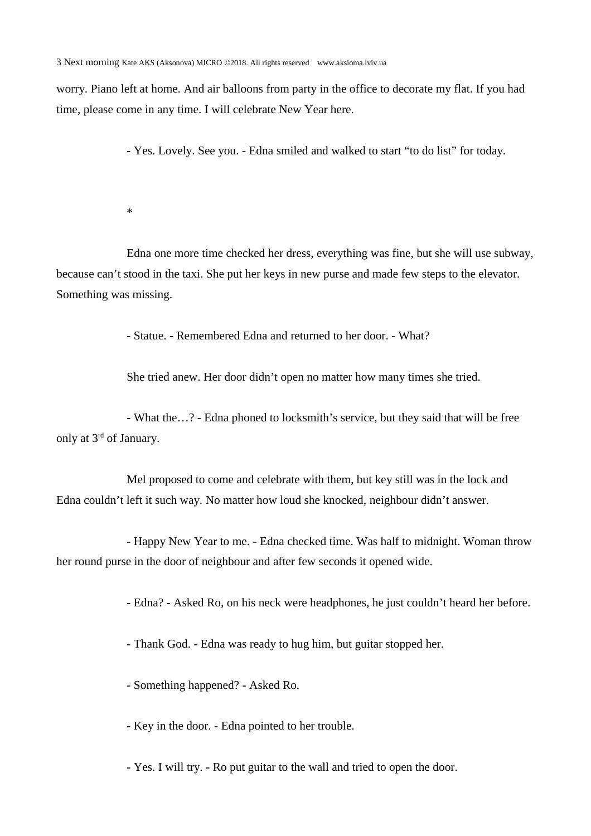worry. Piano left at home. And air balloons from party in the office to decorate my flat. If you had time, please come in any time. I will celebrate New Year here.

- Yes. Lovely. See you. - Edna smiled and walked to start "to do list" for today.

\*

Edna one more time checked her dress, everything was fine, but she will use subway, because can't stood in the taxi. She put her keys in new purse and made few steps to the elevator. Something was missing.

- Statue. - Remembered Edna and returned to her door. - What?

She tried anew. Her door didn't open no matter how many times she tried.

- What the…? - Edna phoned to locksmith's service, but they said that will be free only at 3rd of January.

Mel proposed to come and celebrate with them, but key still was in the lock and Edna couldn't left it such way. No matter how loud she knocked, neighbour didn't answer.

- Happy New Year to me. - Edna checked time. Was half to midnight. Woman throw her round purse in the door of neighbour and after few seconds it opened wide.

- Edna? - Asked Ro, on his neck were headphones, he just couldn't heard her before.

- Thank God. - Edna was ready to hug him, but guitar stopped her.

- Something happened? - Asked Ro.

- Key in the door. - Edna pointed to her trouble.

- Yes. I will try. - Ro put guitar to the wall and tried to open the door.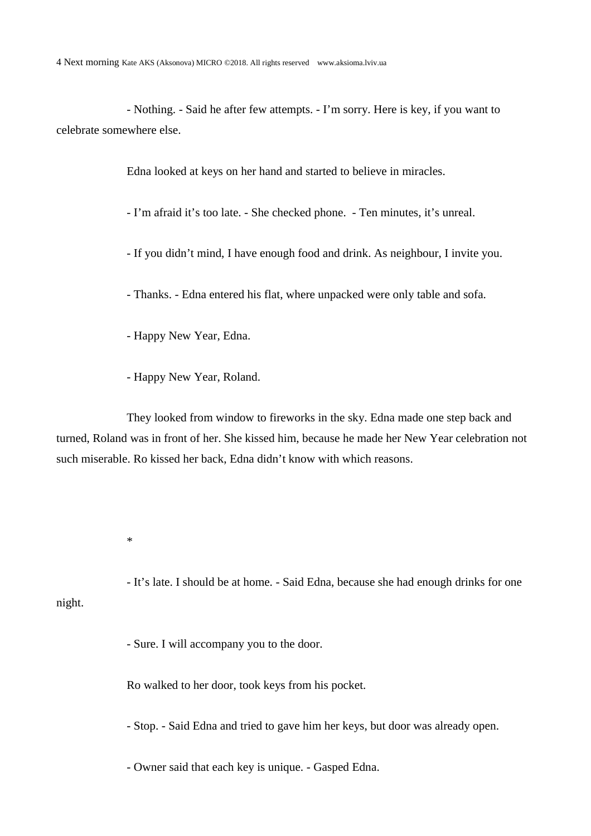- Nothing. - Said he after few attempts. - I'm sorry. Here is key, if you want to celebrate somewhere else.

Edna looked at keys on her hand and started to believe in miracles.

- I'm afraid it's too late. - She checked phone. - Ten minutes, it's unreal.

- If you didn't mind, I have enough food and drink. As neighbour, I invite you.

- Thanks. - Edna entered his flat, where unpacked were only table and sofa.

- Happy New Year, Edna.

- Happy New Year, Roland.

They looked from window to fireworks in the sky. Edna made one step back and turned, Roland was in front of her. She kissed him, because he made her New Year celebration not such miserable. Ro kissed her back, Edna didn't know with which reasons.

\*

- It's late. I should be at home. - Said Edna, because she had enough drinks for one night.

- Sure. I will accompany you to the door.

Ro walked to her door, took keys from his pocket.

- Stop. - Said Edna and tried to gave him her keys, but door was already open.

- Owner said that each key is unique. - Gasped Edna.